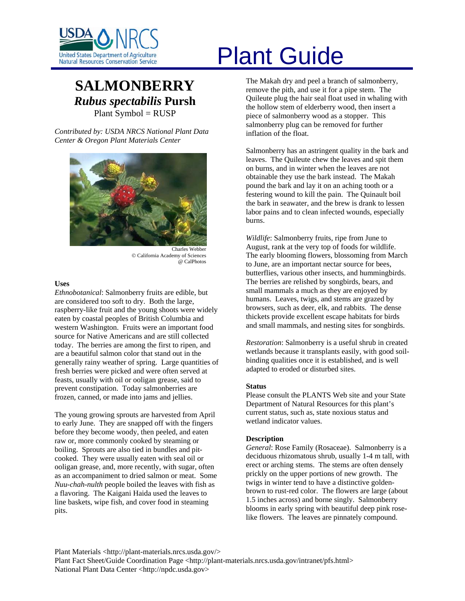

# **SALMONBERRY** *Rubus spectabilis* **Pursh**  Plant Symbol = RUSP

*Contributed by: USDA NRCS National Plant Data Center & Oregon Plant Materials Center* 



Charles Webber © California Academy of Sciences @ CalPhotos

## **Uses**

*Ethnobotanical*: Salmonberry fruits are edible, but are considered too soft to dry. Both the large, raspberry-like fruit and the young shoots were widely eaten by coastal peoples of British Columbia and western Washington. Fruits were an important food source for Native Americans and are still collected today. The berries are among the first to ripen, and are a beautiful salmon color that stand out in the generally rainy weather of spring. Large quantities of fresh berries were picked and were often served at feasts, usually with oil or ooligan grease, said to prevent constipation. Today salmonberries are frozen, canned, or made into jams and jellies.

The young growing sprouts are harvested from April to early June. They are snapped off with the fingers before they become woody, then peeled, and eaten raw or, more commonly cooked by steaming or boiling. Sprouts are also tied in bundles and pitcooked. They were usually eaten with seal oil or ooligan grease, and, more recently, with sugar, often as an accompaniment to dried salmon or meat. Some *Nuu-chah-nulth* people boiled the leaves with fish as a flavoring. The Kaigani Haida used the leaves to line baskets, wipe fish, and cover food in steaming pits.

# United States Department of Agriculture<br>Natural Resources Conservation Service

The Makah dry and peel a branch of salmonberry, remove the pith, and use it for a pipe stem. The Quileute plug the hair seal float used in whaling with the hollow stem of elderberry wood, then insert a piece of salmonberry wood as a stopper. This salmonberry plug can be removed for further inflation of the float.

Salmonberry has an astringent quality in the bark and leaves. The Quileute chew the leaves and spit them on burns, and in winter when the leaves are not obtainable they use the bark instead. The Makah pound the bark and lay it on an aching tooth or a festering wound to kill the pain. The Quinault boil the bark in seawater, and the brew is drank to lessen labor pains and to clean infected wounds, especially burns.

*Wildlife*: Salmonberry fruits, ripe from June to August, rank at the very top of foods for wildlife. The early blooming flowers, blossoming from March to June, are an important nectar source for bees, butterflies, various other insects, and hummingbirds. The berries are relished by songbirds, bears, and small mammals a much as they are enjoyed by humans. Leaves, twigs, and stems are grazed by browsers, such as deer, elk, and rabbits. The dense thickets provide excellent escape habitats for birds and small mammals, and nesting sites for songbirds.

*Restoration*: Salmonberry is a useful shrub in created wetlands because it transplants easily, with good soilbinding qualities once it is established, and is well adapted to eroded or disturbed sites.

#### **Status**

Please consult the PLANTS Web site and your State Department of Natural Resources for this plant's current status, such as, state noxious status and wetland indicator values.

#### **Description**

*General*: Rose Family (Rosaceae). Salmonberry is a deciduous rhizomatous shrub, usually 1-4 m tall, with erect or arching stems. The stems are often densely prickly on the upper portions of new growth. The twigs in winter tend to have a distinctive goldenbrown to rust-red color. The flowers are large (about 1.5 inches across) and borne singly. Salmonberry blooms in early spring with beautiful deep pink roselike flowers. The leaves are pinnately compound.

Plant Materials <http://plant-materials.nrcs.usda.gov/> Plant Fact Sheet/Guide Coordination Page <http://plant-materials.nrcs.usda.gov/intranet/pfs.html> National Plant Data Center <http://npdc.usda.gov>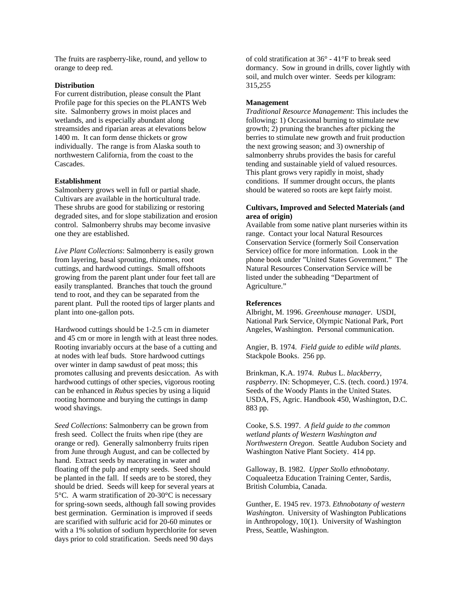The fruits are raspberry-like, round, and yellow to orange to deep red.

#### **Distribution**

For current distribution, please consult the Plant Profile page for this species on the PLANTS Web site. Salmonberry grows in moist places and wetlands, and is especially abundant along streamsides and riparian areas at elevations below 1400 m. It can form dense thickets or grow individually. The range is from Alaska south to northwestern California, from the coast to the Cascades.

## **Establishment**

Salmonberry grows well in full or partial shade. Cultivars are available in the horticultural trade. These shrubs are good for stabilizing or restoring degraded sites, and for slope stabilization and erosion control. Salmonberry shrubs may become invasive one they are established.

*Live Plant Collections*: Salmonberry is easily grown from layering, basal sprouting, rhizomes, root cuttings, and hardwood cuttings. Small offshoots growing from the parent plant under four feet tall are easily transplanted. Branches that touch the ground tend to root, and they can be separated from the parent plant. Pull the rooted tips of larger plants and plant into one-gallon pots.

Hardwood cuttings should be 1-2.5 cm in diameter and 45 cm or more in length with at least three nodes. Rooting invariably occurs at the base of a cutting and at nodes with leaf buds. Store hardwood cuttings over winter in damp sawdust of peat moss; this promotes callusing and prevents desiccation. As with hardwood cuttings of other species, vigorous rooting can be enhanced in *Rubus* species by using a liquid rooting hormone and burying the cuttings in damp wood shavings.

*Seed Collections*: Salmonberry can be grown from fresh seed. Collect the fruits when ripe (they are orange or red). Generally salmonberry fruits ripen from June through August, and can be collected by hand. Extract seeds by macerating in water and floating off the pulp and empty seeds. Seed should be planted in the fall. If seeds are to be stored, they should be dried. Seeds will keep for several years at 5°C. A warm stratification of 20-30°C is necessary for spring-sown seeds, although fall sowing provides best germination. Germination is improved if seeds are scarified with sulfuric acid for 20-60 minutes or with a 1% solution of sodium hyperchlorite for seven days prior to cold stratification. Seeds need 90 days

of cold stratification at 36° - 41°F to break seed dormancy. Sow in ground in drills, cover lightly with soil, and mulch over winter. Seeds per kilogram: 315,255

# **Management**

*Traditional Resource Management*: This includes the following: 1) Occasional burning to stimulate new growth; 2) pruning the branches after picking the berries to stimulate new growth and fruit production the next growing season; and 3) ownership of salmonberry shrubs provides the basis for careful tending and sustainable yield of valued resources. This plant grows very rapidly in moist, shady conditions. If summer drought occurs, the plants should be watered so roots are kept fairly moist.

## **Cultivars, Improved and Selected Materials (and area of origin)**

Available from some native plant nurseries within its range. Contact your local Natural Resources Conservation Service (formerly Soil Conservation Service) office for more information. Look in the phone book under "United States Government." The Natural Resources Conservation Service will be listed under the subheading "Department of Agriculture."

# **References**

Albright, M. 1996. *Greenhouse manager*. USDI, National Park Service, Olympic National Park, Port Angeles, Washington. Personal communication.

Angier, B. 1974. *Field guide to edible wild plants*. Stackpole Books. 256 pp.

Brinkman, K.A. 1974. *Rubus* L. *blackberry, raspberry*. IN: Schopmeyer, C.S. (tech. coord.) 1974. Seeds of the Woody Plants in the United States. USDA, FS, Agric. Handbook 450, Washington, D.C. 883 pp.

Cooke, S.S. 1997. *A field guide to the common wetland plants of Western Washington and Northwestern Oregon*. Seattle Audubon Society and Washington Native Plant Society. 414 pp.

Galloway, B. 1982. *Upper Stollo ethnobotany*. Coqualeetza Education Training Center, Sardis, British Columbia, Canada.

Gunther, E. 1945 rev. 1973. *Ethnobotany of western Washington*. University of Washington Publications in Anthropology, 10(1). University of Washington Press, Seattle, Washington.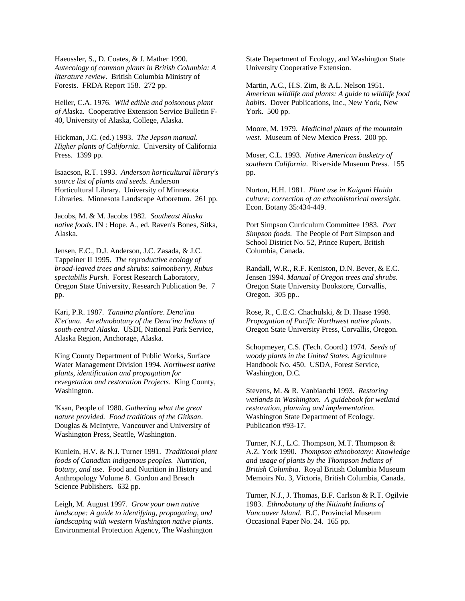Haeussler, S., D. Coates, & J. Mather 1990. *Autecology of common plants in British Columbia: A literature review*. British Columbia Ministry of Forests. FRDA Report 158. 272 pp.

Heller, C.A. 1976. *Wild edible and poisonous plant of Al*aska. Cooperative Extension Service Bulletin F-40, University of Alaska, College, Alaska.

Hickman, J.C. (ed.) 1993. *The Jepson manual. Higher plants of California*. University of California Press. 1399 pp.

Isaacson, R.T. 1993. *Anderson horticultural library's source list of plants and seeds*. Anderson Horticultural Library. University of Minnesota Libraries. Minnesota Landscape Arboretum. 261 pp.

Jacobs, M. & M. Jacobs 1982. *Southeast Alaska native foods*. IN : Hope. A., ed. Raven's Bones, Sitka, Alaska.

Jensen, E.C., D.J. Anderson, J.C. Zasada, & J.C. Tappeiner II 1995. *The reproductive ecology of broad-leaved trees and shrubs: salmonberry, Rubus spectabilis Pursh*. Forest Research Laboratory, Oregon State University, Research Publication 9e. 7 pp.

Kari, P.R. 1987. *Tanaina plantlore*. *Dena'ina K'et'una*. *An ethnobotany of the Dena'ina Indians of south-central Alaska*. USDI, National Park Service, Alaska Region, Anchorage, Alaska.

King County Department of Public Works, Surface Water Management Division 1994. *Northwest native plants, identification and propagation for revegetation and restoration Projects*. King County, Washington.

'Ksan, People of 1980. *Gathering what the great nature provided. Food traditions of the Gitksan*. Douglas & McIntyre, Vancouver and University of Washington Press, Seattle, Washington.

Kunlein, H.V. & N.J. Turner 1991. *Traditional plant foods of Canadian indigenous peoples. Nutrition, botany, and use*. Food and Nutrition in History and Anthropology Volume 8. Gordon and Breach Science Publishers. 632 pp.

Leigh, M. August 1997. *Grow your own native landscape: A guide to identifying, propagating, and landscaping with western Washington native plants*. Environmental Protection Agency, The Washington State Department of Ecology, and Washington State University Cooperative Extension.

Martin, A.C., H.S. Zim, & A.L. Nelson 1951. *American wildlife and plants: A guide to wildlife food habits.* Dover Publications, Inc., New York, New York. 500 pp.

Moore, M. 1979. *Medicinal plants of the mountain west*. Museum of New Mexico Press. 200 pp.

Moser, C.L. 1993. *Native American basketry of southern California*. Riverside Museum Press. 155 pp.

Norton, H.H. 1981. *Plant use in Kaigani Haida culture: correction of an ethnohistorical oversight*. Econ. Botany 35:434-449.

Port Simpson Curriculum Committee 1983. *Port Simpson foods*. The People of Port Simpson and School District No. 52, Prince Rupert, British Columbia, Canada.

Randall, W.R., R.F. Keniston, D.N. Bever, & E.C. Jensen 1994. *Manual of Oregon trees and shrubs*. Oregon State University Bookstore, Corvallis, Oregon. 305 pp..

Rose, R., C.E.C. Chachulski, & D. Haase 1998. *Propagation of Pacific Northwest native plants*. Oregon State University Press, Corvallis, Oregon.

Schopmeyer, C.S. (Tech. Coord.) 1974. *Seeds of woody plants in the United States*. Agriculture Handbook No. 450. USDA, Forest Service, Washington, D.C.

Stevens, M. & R. Vanbianchi 1993. *Restoring wetlands in Washington. A guidebook for wetland restoration, planning and implementation*. Washington State Department of Ecology. Publication #93-17.

Turner, N.J., L.C. Thompson, M.T. Thompson & A.Z. York 1990. *Thompson ethnobotany: Knowledge and usage of plants by the Thompson Indians of British Columbia*. Royal British Columbia Museum Memoirs No. 3, Victoria, British Columbia, Canada.

Turner, N.J., J. Thomas, B.F. Carlson & R.T. Ogilvie 1983. *Ethnobotany of the Nitinaht Indians of Vancouver Island*. B.C. Provincial Museum Occasional Paper No. 24. 165 pp.